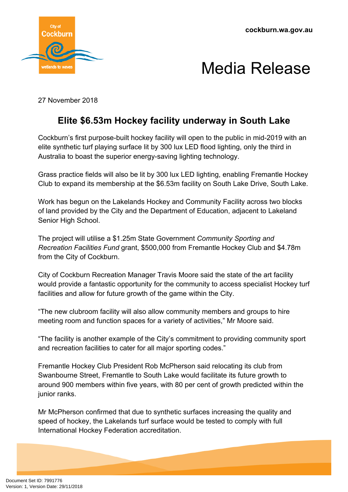



27 November 2018

## **Elite \$6.53m Hockey facility underway in South Lake**

Cockburn's first purpose-built hockey facility will open to the public in mid-2019 with an elite synthetic turf playing surface lit by 300 lux LED flood lighting, only the third in Australia to boast the superior energy-saving lighting technology.

Grass practice fields will also be lit by 300 lux LED lighting, enabling Fremantle Hockey Club to expand its membership at the \$6.53m facility on South Lake Drive, South Lake.

Work has begun on the Lakelands Hockey and Community Facility across two blocks of land provided by the City and the Department of Education, adjacent to Lakeland Senior High School.

The project will utilise a \$1.25m State Government *Community Sporting and Recreation Facilities Fund* grant, \$500,000 from Fremantle Hockey Club and \$4.78m from the City of Cockburn.

City of Cockburn Recreation Manager Travis Moore said the state of the art facility would provide a fantastic opportunity for the community to access specialist Hockey turf facilities and allow for future growth of the game within the City.

"The new clubroom facility will also allow community members and groups to hire meeting room and function spaces for a variety of activities," Mr Moore said.

"The facility is another example of the City's commitment to providing community sport and recreation facilities to cater for all major sporting codes."

Fremantle Hockey Club President Rob McPherson said relocating its club from Swanbourne Street, Fremantle to South Lake would facilitate its future growth to around 900 members within five years, with 80 per cent of growth predicted within the junior ranks.

Mr McPherson confirmed that due to synthetic surfaces increasing the quality and speed of hockey, the Lakelands turf surface would be tested to comply with full International Hockey Federation accreditation.

Document Set ID: 7991776<br>Version: 1, Version Date: 29/11/2018